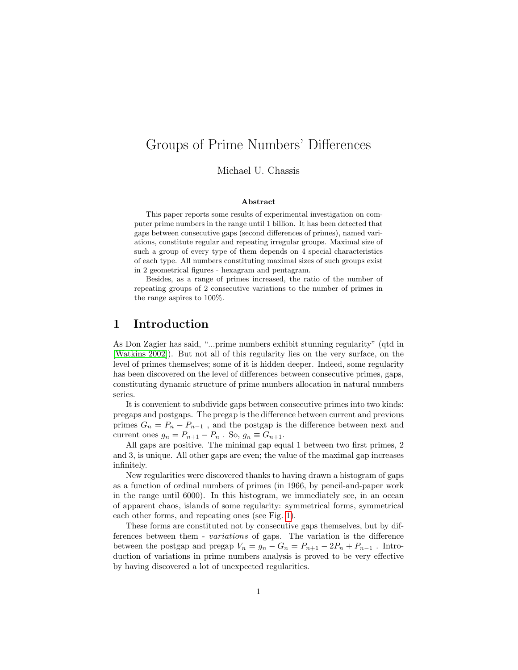# Groups of Prime Numbers' Differences

Michael U. Chassis

#### Abstract

This paper reports some results of experimental investigation on computer prime numbers in the range until 1 billion. It has been detected that gaps between consecutive gaps (second differences of primes), named variations, constitute regular and repeating irregular groups. Maximal size of such a group of every type of them depends on 4 special characteristics of each type. All numbers constituting maximal sizes of such groups exist in 2 geometrical figures - hexagram and pentagram.

Besides, as a range of primes increased, the ratio of the number of repeating groups of 2 consecutive variations to the number of primes in the range aspires to 100%.

### 1 Introduction

As Don Zagier has said, "...prime numbers exhibit stunning regularity" (qtd in [\[Watkins 2002\]](#page-9-0)). But not all of this regularity lies on the very surface, on the level of primes themselves; some of it is hidden deeper. Indeed, some regularity has been discovered on the level of differences between consecutive primes, gaps, constituting dynamic structure of prime numbers allocation in natural numbers series.

It is convenient to subdivide gaps between consecutive primes into two kinds: pregaps and postgaps. The pregap is the difference between current and previous primes  $G_n = P_n - P_{n-1}$ , and the postgap is the difference between next and current ones  $g_n = P_{n+1} - P_n$ . So,  $g_n \equiv G_{n+1}$ .

All gaps are positive. The minimal gap equal 1 between two first primes, 2 and 3, is unique. All other gaps are even; the value of the maximal gap increases infinitely.

New regularities were discovered thanks to having drawn a histogram of gaps as a function of ordinal numbers of primes (in 1966, by pencil-and-paper work in the range until 6000). In this histogram, we immediately see, in an ocean of apparent chaos, islands of some regularity: symmetrical forms, symmetrical each other forms, and repeating ones (see Fig. [1\)](#page-1-0).

These forms are constituted not by consecutive gaps themselves, but by differences between them - variations of gaps. The variation is the difference between the postgap and pregap  $V_n = g_n - G_n = P_{n+1} - 2P_n + P_{n-1}$ . Introduction of variations in prime numbers analysis is proved to be very effective by having discovered a lot of unexpected regularities.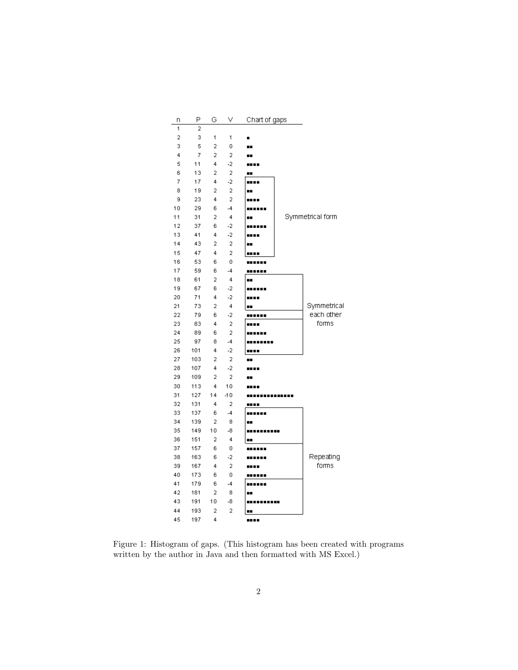| n  | Ρ              | G              | ٧              | Chart of gaps |                  |
|----|----------------|----------------|----------------|---------------|------------------|
| 1  | $\overline{a}$ |                |                |               |                  |
| 2  | 3              | 1              | 1              |               |                  |
| 3  | 5              | $\overline{2}$ | 0              |               |                  |
| 4  | 7              | 2              | 2              |               |                  |
| 5  | 11             | 4              | $-2$           |               |                  |
| 6  | 13             | $\overline{2}$ | $\overline{a}$ |               |                  |
| 7  | 17             | 4              | $-2$           |               |                  |
| 8  | 19             | 2              | 2              |               |                  |
| 9  | 23             | 4              | $\overline{2}$ |               |                  |
| 10 | 29             | 6              | $-4$           |               |                  |
| 11 | 31             | 2              | 4              |               | Symmetrical form |
| 12 | 37             | 6              | -2             |               |                  |
| 13 | 41             | 4              | $-2$           |               |                  |
| 14 | 43             | $\overline{2}$ | $\overline{2}$ |               |                  |
| 15 | 47             | 4              | $\overline{2}$ | .             |                  |
| 16 | 53             | 6              | 0              |               |                  |
| 17 | 59             | 6              | $-4$           | .             |                  |
| 18 | 61             | $\overline{2}$ | 4              |               |                  |
| 19 | 67             | 6              | -2             |               |                  |
| 20 | 71             | 4              | $-2$           |               |                  |
| 21 | 73             | 2              | 4              |               | Symmetrical      |
| 22 | 79             | 6              | $-2$           |               | each other       |
| 23 | 83             | 4              | 2              |               | forms            |
| 24 | 89             | 6              | $\overline{2}$ |               |                  |
| 25 | 97             | 8              | $-4$           |               |                  |
| 26 | 101            | 4              | $-2$           |               |                  |
| 27 | 103            | $\overline{2}$ | $\overline{2}$ |               |                  |
| 28 | 107            | 4              | $-2$           |               |                  |
| 29 | 109            | $\overline{2}$ | $\overline{a}$ |               |                  |
| 30 | 113            | 4              | 10             |               |                  |
| 31 | 127            | 14             | $-10$          |               |                  |
| 32 | 131            | 4              | 2              | .             |                  |
| 33 | 137            | 6              | $-4$           |               |                  |
| 34 | 139            | $\overline{2}$ | 8              |               |                  |
| 35 | 149            | 10             | $-8$           |               |                  |
| 36 | 151            | 2              | 4              |               |                  |
| 37 | 157            | 6              | 0              |               |                  |
| 38 | 163            | 6              | $-2$           |               | Repeating        |
| 39 | 167            | 4              | $\overline{2}$ |               | forms            |
| 40 | 173            | 6              | 0              |               |                  |
| 41 | 179            | 6              | $-4$           |               |                  |
| 42 | 181            | $\overline{a}$ | 8              |               |                  |
| 43 | 191            | 10             | -8             |               |                  |
| 44 | 193            | 2              | 2              |               |                  |
| 45 | 197            | 4              |                |               |                  |

<span id="page-1-0"></span>Figure 1: Histogram of gaps. (This histogram has been created with programs written by the author in Java and then formatted with MS Excel.)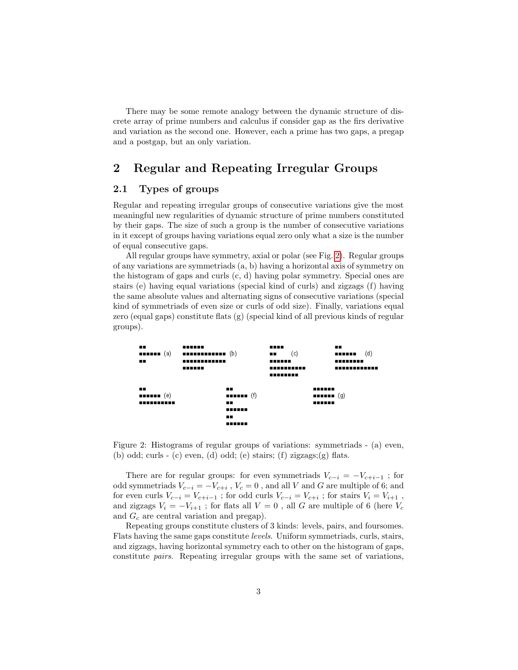There may be some remote analogy between the dynamic structure of discrete array of prime numbers and calculus if consider gap as the firs derivative and variation as the second one. However, each a prime has two gaps, a pregap and a postgap, but an only variation.

## 2 Regular and Repeating Irregular Groups

#### 2.1 Types of groups

Regular and repeating irregular groups of consecutive variations give the most meaningful new regularities of dynamic structure of prime numbers constituted by their gaps. The size of such a group is the number of consecutive variations in it except of groups having variations equal zero only what a size is the number of equal consecutive gaps.

All regular groups have symmetry, axial or polar (see Fig. [2\)](#page-2-0). Regular groups of any variations are symmetriads (a, b) having a horizontal axis of symmetry on the histogram of gaps and curls (c, d) having polar symmetry. Special ones are stairs (e) having equal variations (special kind of curls) and zigzags (f) having the same absolute values and alternating signs of consecutive variations (special kind of symmetriads of even size or curls of odd size). Finally, variations equal zero (equal gaps) constitute flats (g) (special kind of all previous kinds of regular groups).

| ш.<br><b>HEELEE</b> (a)    | ,,,,,,,<br>$\blacksquare$      | <br>(c)<br>                      | п.<br>(d)<br>------      |
|----------------------------|--------------------------------|----------------------------------|--------------------------|
| . .                        | ------------<br>,,,,,,,        | ,,,,,,<br>----------<br>,,,,,,,, | ,,,,,,,,<br>------------ |
| . .<br><b>BEREER</b> $(e)$ | . .<br><b>HEELER</b> $(f)$     | ,,,,,,                           | <b>HEREE</b> (g)         |
| ----------                 | . .<br>,,,,,,<br>. .<br>------ | ,,,,,,                           |                          |

<span id="page-2-0"></span>Figure 2: Histograms of regular groups of variations: symmetriads - (a) even, (b) odd; curls - (c) even, (d) odd; (e) stairs; (f) zigzags; (g) flats.

There are for regular groups: for even symmetriads  $V_{c-i} = -V_{c+i-1}$ ; for odd symmetriads  $V_{c-i} = -V_{c+i}$ ,  $V_c = 0$ , and all V and G are multiple of 6; and for even curls  $V_{c-i} = V_{c+i-1}$ ; for odd curls  $V_{c-i} = V_{c+i}$ ; for stairs  $V_i = V_{i+1}$ , and zigzags  $V_i = -V_{i+1}$  ; for flats all  $V=0$  , all  $G$  are multiple of  $6$  (here  $V_c$ and  $G_c$  are central variation and pregap).

Repeating groups constitute clusters of 3 kinds: levels, pairs, and foursomes. Flats having the same gaps constitute levels. Uniform symmetriads, curls, stairs, and zigzags, having horizontal symmetry each to other on the histogram of gaps, constitute pairs. Repeating irregular groups with the same set of variations,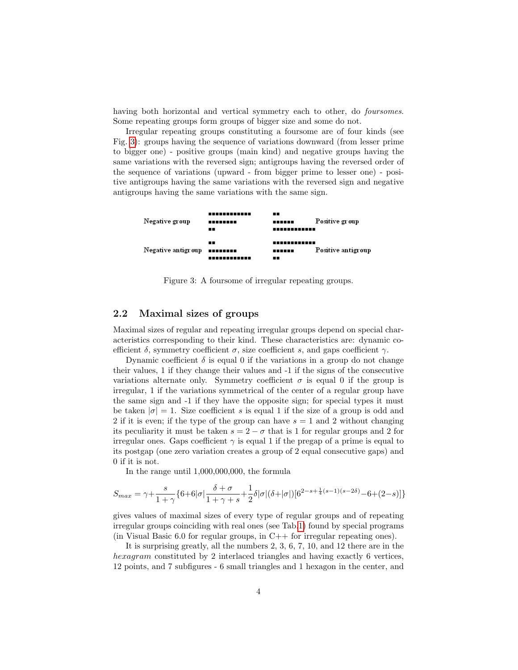having both horizontal and vertical symmetry each to other, do foursomes. Some repeating groups form groups of bigger size and some do not.

Irregular repeating groups constituting a foursome are of four kinds (see Fig. [3\)](#page-3-0): groups having the sequence of variations downward (from lesser prime to bigger one) - positive groups (main kind) and negative groups having the same variations with the reversed sign; antigroups having the reversed order of the sequence of variations (upward - from bigger prime to lesser one) - positive antigroups having the same variations with the reversed sign and negative antigroups having the same variations with the same sign.



<span id="page-3-0"></span>Figure 3: A foursome of irregular repeating groups.

#### 2.2 Maximal sizes of groups

Maximal sizes of regular and repeating irregular groups depend on special characteristics corresponding to their kind. These characteristics are: dynamic coefficient  $\delta$ , symmetry coefficient  $\sigma$ , size coefficient s, and gaps coefficient  $\gamma$ .

Dynamic coefficient  $\delta$  is equal 0 if the variations in a group do not change their values, 1 if they change their values and -1 if the signs of the consecutive variations alternate only. Symmetry coefficient  $\sigma$  is equal 0 if the group is irregular, 1 if the variations symmetrical of the center of a regular group have the same sign and -1 if they have the opposite sign; for special types it must be taken  $|\sigma|=1$ . Size coefficient s is equal 1 if the size of a group is odd and 2 if it is even; if the type of the group can have  $s = 1$  and 2 without changing its peculiarity it must be taken  $s = 2 - \sigma$  that is 1 for regular groups and 2 for irregular ones. Gaps coefficient  $\gamma$  is equal 1 if the pregap of a prime is equal to its postgap (one zero variation creates a group of 2 equal consecutive gaps) and 0 if it is not.

In the range until 1,000,000,000, the formula

$$
S_{max} = \gamma + \frac{s}{1+\gamma} \{6+6|\sigma| \frac{\delta+\sigma}{1+\gamma+s} + \frac{1}{2}\delta|\sigma|(\delta+|\sigma|)[6^{2-s+\frac{1}{4}(s-1)(s-2\delta)}-6+(2-s)]\}
$$

gives values of maximal sizes of every type of regular groups and of repeating irregular groups coinciding with real ones (see Tab[.1\)](#page-4-0) found by special programs (in Visual Basic 6.0 for regular groups, in  $C++$  for irregular repeating ones).

It is surprising greatly, all the numbers 2, 3, 6, 7, 10, and 12 there are in the hexagram constituted by 2 interlaced triangles and having exactly 6 vertices, 12 points, and 7 subfigures - 6 small triangles and 1 hexagon in the center, and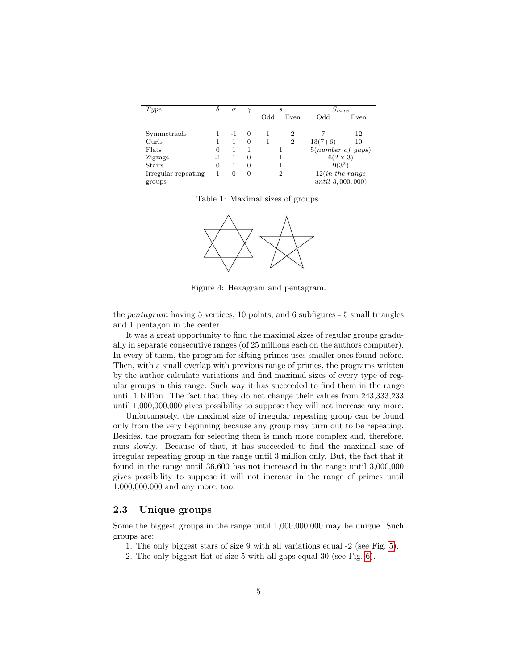| Type                | δ  | $\sigma$ | $\gamma$ |              | S              | $S_{max}$           |      |
|---------------------|----|----------|----------|--------------|----------------|---------------------|------|
|                     |    |          |          | $_{\rm Odd}$ | Even           | $_{\rm Odd}$        | Even |
|                     |    |          |          |              |                |                     |      |
| Symmetriads         |    | -1       | $\theta$ |              | 2              |                     | 12   |
| Curls               |    |          | $\Omega$ |              | $\overline{2}$ | $13(7+6)$           | 10   |
| Flats               | 0  |          |          |              |                | 5(number of gaps)   |      |
| Zigzags             | -1 |          | $\Omega$ |              |                | $6(2\times3)$       |      |
| <b>Stairs</b>       | 0  |          | 0        |              |                | $9(3^2)$            |      |
| Irregular repeating | 1  | 0        | 0        |              | $\overline{2}$ | 12(in the range)    |      |
| groups              |    |          |          |              |                | $until\ 3,000,000)$ |      |

<span id="page-4-0"></span>Table 1: Maximal sizes of groups.



Figure 4: Hexagram and pentagram.

the pentagram having 5 vertices, 10 points, and 6 subfigures - 5 small triangles and 1 pentagon in the center.

It was a great opportunity to find the maximal sizes of regular groups gradually in separate consecutive ranges (of 25 millions each on the authors computer). In every of them, the program for sifting primes uses smaller ones found before. Then, with a small overlap with previous range of primes, the programs written by the author calculate variations and find maximal sizes of every type of regular groups in this range. Such way it has succeeded to find them in the range until 1 billion. The fact that they do not change their values from 243,333,233 until 1,000,000,000 gives possibility to suppose they will not increase any more.

Unfortunately, the maximal size of irregular repeating group can be found only from the very beginning because any group may turn out to be repeating. Besides, the program for selecting them is much more complex and, therefore, runs slowly. Because of that, it has succeeded to find the maximal size of irregular repeating group in the range until 3 million only. But, the fact that it found in the range until 36,600 has not increased in the range until 3,000,000 gives possibility to suppose it will not increase in the range of primes until 1,000,000,000 and any more, too.

#### 2.3 Unique groups

Some the biggest groups in the range until 1,000,000,000 may be unigue. Such groups are:

1. The only biggest stars of size 9 with all variations equal -2 (see Fig. [5\)](#page-5-0).

2. The only biggest flat of size 5 with all gaps equal 30 (see Fig. [6\)](#page-5-1).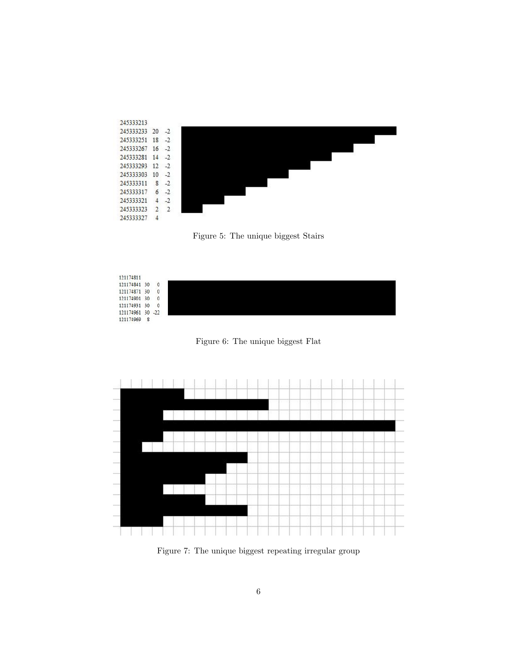

<span id="page-5-0"></span>Figure 5: The unique biggest Stairs



<span id="page-5-1"></span>Figure 6: The unique biggest Flat



<span id="page-5-2"></span>Figure 7: The unique biggest repeating irregular group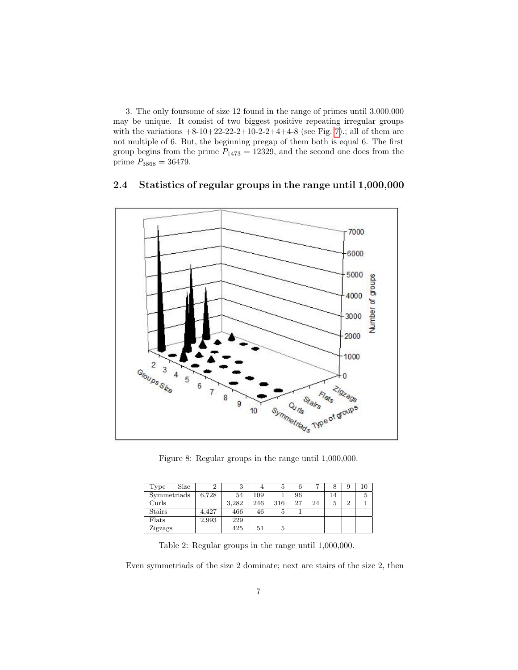3. The only foursome of size 12 found in the range of primes until 3.000.000 may be unique. It consist of two biggest positive repeating irregular groups with the variations  $+8-10+22-22-2+10-2-2+4+4-8$  (see Fig. [7\)](#page-5-2).; all of them are not multiple of 6. But, the beginning pregap of them both is equal 6. The first group begins from the prime  $P_{1473} = 12329$ , and the second one does from the prime  $P_{3868} = 36479$ .



#### 2.4 Statistics of regular groups in the range until 1,000,000

Figure 8: Regular groups in the range until 1,000,000.

| Size<br>Type  |       | 3     | $\overline{4}$ | ð   | 0   | −  | 8  | g        | 10 |
|---------------|-------|-------|----------------|-----|-----|----|----|----------|----|
| Symmetriads   | 6.728 | 54    | 109            |     | 96  |    | 14 |          | 5  |
| Curls         |       | 3.282 | 246            | 316 | -27 | 24 | 5  | $\Omega$ |    |
| <b>Stairs</b> | 4.427 | 466   | 46             | 5   |     |    |    |          |    |
| Flats         | 2,993 | 229   |                |     |     |    |    |          |    |
| Zigzags       |       | 425   | 51             | ð   |     |    |    |          |    |

Table 2: Regular groups in the range until 1,000,000.

Even symmetriads of the size 2 dominate; next are stairs of the size 2, then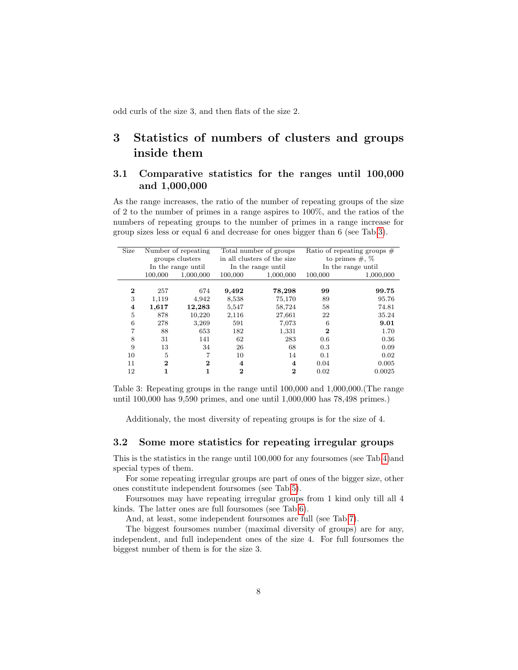odd curls of the size 3, and then flats of the size 2.

# 3 Statistics of numbers of clusters and groups inside them

### 3.1 Comparative statistics for the ranges until 100,000 and 1,000,000

As the range increases, the ratio of the number of repeating groups of the size of 2 to the number of primes in a range aspires to 100%, and the ratios of the numbers of repeating groups to the number of primes in a range increase for group sizes less or equal 6 and decrease for ones bigger than 6 (see Tab[.3\)](#page-7-0).

| Size     | Number of repeating |                    | Total number of groups      |           | Ratio of repeating groups $#$ |           |
|----------|---------------------|--------------------|-----------------------------|-----------|-------------------------------|-----------|
|          | groups clusters     |                    | in all clusters of the size |           | to primes $\#$ , $\%$         |           |
|          |                     | In the range until | In the range until          |           | In the range until            |           |
|          | 100,000             | 1,000,000          | 100,000                     | 1,000,000 | 100,000                       | 1,000,000 |
|          |                     |                    |                             |           |                               |           |
| $\bf{2}$ | 257                 | 674                | 9,492                       | 78,298    | 99                            | 99.75     |
| 3        | 1,119               | 4,942              | 8,538                       | 75,170    | 89                            | 95.76     |
| 4        | 1,617               | 12,283             | 5,547                       | 58,724    | 58                            | 74.81     |
| 5        | 878                 | 10,220             | 2,116                       | 27,661    | 22                            | 35.24     |
| 6        | 278                 | 3,269              | 591                         | 7,073     | 6                             | 9.01      |
| 7        | 88                  | 653                | 182                         | 1,331     | $\bf{2}$                      | 1.70      |
| 8        | 31                  | 141                | 62                          | 283       | 0.6                           | 0.36      |
| 9        | 13                  | 34                 | 26                          | 68        | 0.3                           | 0.09      |
| 10       | 5                   | 7                  | 10                          | 14        | 0.1                           | 0.02      |
| 11       | $\bf{2}$            | $\bf{2}$           | $\overline{\bf 4}$          | 4         | 0.04                          | 0.005     |
| 12       |                     | 1                  | 2                           | 2         | 0.02                          | 0.0025    |

<span id="page-7-0"></span>Table 3: Repeating groups in the range until 100,000 and 1,000,000.(The range until 100,000 has 9,590 primes, and one until 1,000,000 has 78,498 primes.)

Additionaly, the most diversity of repeating groups is for the size of 4.

#### 3.2 Some more statistics for repeating irregular groups

This is the statistics in the range until 100,000 for any foursomes (see Tab[.4\)](#page-8-0)and special types of them.

For some repeating irregular groups are part of ones of the bigger size, other ones constitute independent foursomes (see Tab[.5\)](#page-8-1).

Foursomes may have repeating irregular groups from 1 kind only till all 4 kinds. The latter ones are full foursomes (see Tab[.6\)](#page-8-2).

And, at least, some independent foursomes are full (see Tab[.7\)](#page-9-1).

The biggest foursomes number (maximal diversity of groups) are for any, independent, and full independent ones of the size 4. For full foursomes the biggest number of them is for the size 3.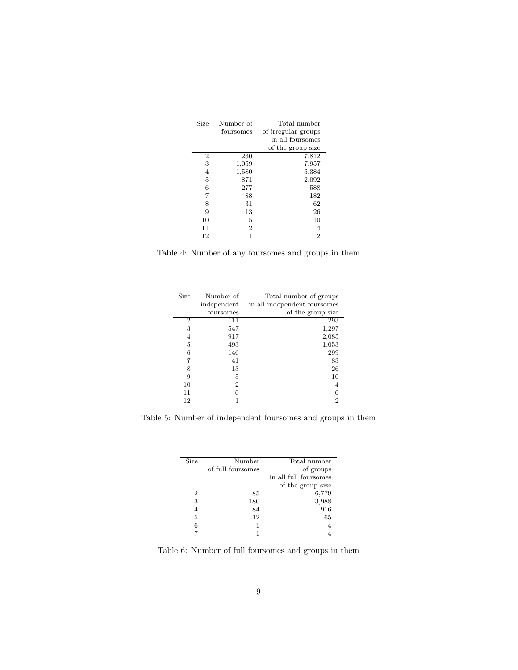| Size           | Number of      | Total number        |
|----------------|----------------|---------------------|
|                | foursomes      | of irregular groups |
|                |                | in all foursomes    |
|                |                | of the group size   |
| 2              | 230            | 7,812               |
| 3              | 1,059          | 7,957               |
| $\overline{4}$ | 1,580          | 5,384               |
| $\overline{5}$ | 871            | 2,092               |
| 6              | 277            | 588                 |
| 7              | 88             | 182                 |
| 8              | 31             | 62                  |
| 9              | 13             | 26                  |
| 10             | 5              | 10                  |
| 11             | $\overline{2}$ | 4                   |
| 12             |                | $\overline{2}$      |
|                |                |                     |

<span id="page-8-0"></span>Table 4: Number of any foursomes and groups in them

| Size           | Number of   | Total number of groups       |
|----------------|-------------|------------------------------|
|                | independent | in all independent foursomes |
|                | foursomes   | of the group size            |
| $\overline{2}$ | 111         | 293                          |
| 3              | 547         | 1,297                        |
| 4              | 917         | 2,085                        |
| $\bf 5$        | 493         | 1,053                        |
| 6              | 146         | 299                          |
| 7              | 41          | 83                           |
| 8              | 13          | 26                           |
| 9              | 5           | 10                           |
| 10             | 2           | 4                            |
| 11             |             |                              |
| 12             |             | 2                            |

<span id="page-8-1"></span>Table 5: Number of independent foursomes and groups in them

| Size | Number            | Total number          |
|------|-------------------|-----------------------|
|      | of full foursomes | of groups             |
|      |                   | in all full foursomes |
|      |                   | of the group size     |
| 2    | 85                | 6,779                 |
| 3    | 180               | 3,988                 |
| 4    | 84                | 916                   |
| 5    | 12                | 65                    |
| 6    |                   |                       |
|      |                   |                       |

<span id="page-8-2"></span>Table 6: Number of full foursomes and groups in them